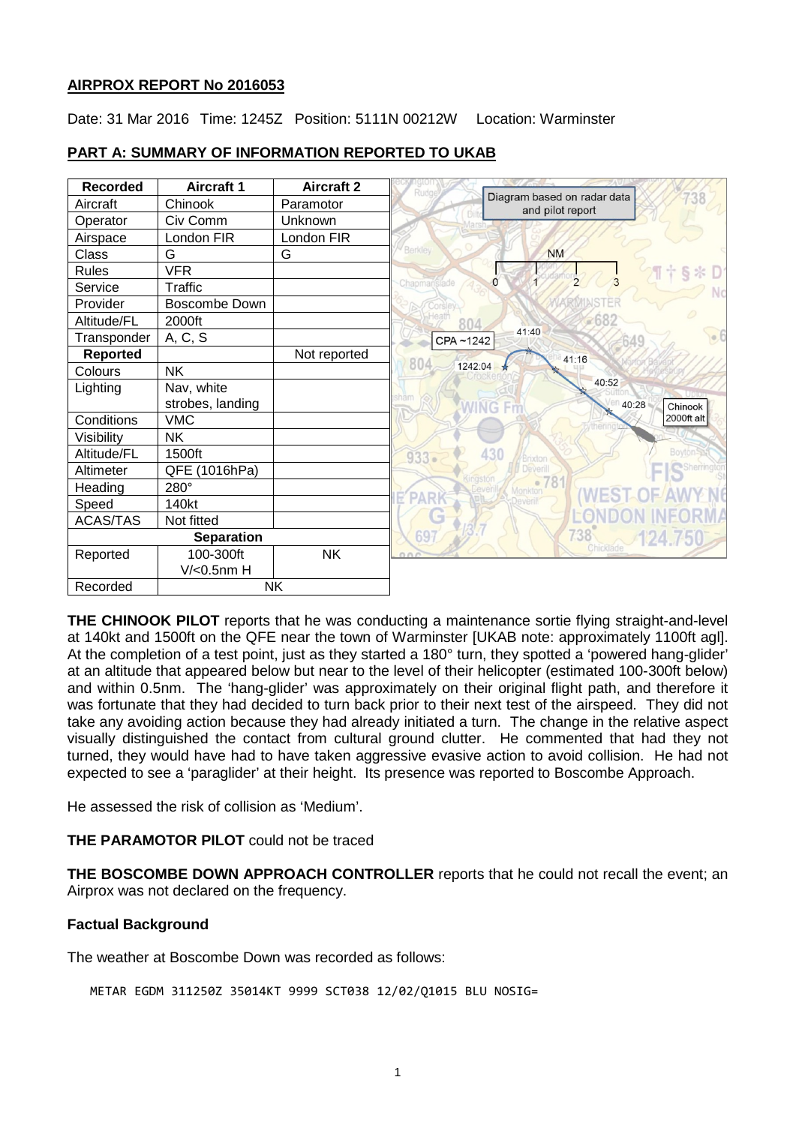## **AIRPROX REPORT No 2016053**

Date: 31 Mar 2016 Time: 1245Z Position: 5111N 00212W Location: Warminster

| <b>Recorded</b>   | <b>Aircraft 1</b>      | <b>Aircraft 2</b> | <b>Rudge</b>                                    |
|-------------------|------------------------|-------------------|-------------------------------------------------|
| Aircraft          | Chinook                | Paramotor         | Diagram based on radar data<br>and pilot report |
| Operator          | Civ Comm               | Unknown           |                                                 |
| Airspace          | London FIR             | London FIR        |                                                 |
| Class             | G                      | G                 | <b>Berkley</b><br><b>NM</b>                     |
| <b>Rules</b>      | <b>VFR</b>             |                   |                                                 |
| Service           | Traffic                |                   | $\overline{2}$<br>$\Omega$<br>Chapmanslade      |
| Provider          | Boscombe Down          |                   |                                                 |
| Altitude/FL       | 2000ft                 |                   | ~268                                            |
| Transponder       | A, C, S                |                   | 41:40<br>0.5<br>CPA~1242                        |
| <b>Reported</b>   |                        | Not reported      | 41:16                                           |
| Colours           | <b>NK</b>              |                   | 804<br>1242:04                                  |
| Lighting          | Nav, white             |                   | 40:52                                           |
|                   | strobes, landing       |                   | sham<br>40:28<br>VING<br>Chinook                |
| Conditions        | <b>VMC</b>             |                   | 2000ft alt                                      |
| Visibility        | <b>NK</b>              |                   |                                                 |
| Altitude/FL       | 1500ft                 |                   | 430<br><b>Boyton</b><br>$933 -$<br>Brixton      |
| Altimeter         | QFE<br>(1016hPa)       |                   | Deverill                                        |
| Heading           | 280°                   |                   | •78<br>Monkton                                  |
| Speed             | 140kt                  |                   |                                                 |
| <b>ACAS/TAS</b>   | Not fitted             |                   |                                                 |
| <b>Separation</b> |                        |                   | 738<br>69<br>124.1                              |
| Reported          | 100-300ft              | <b>NK</b>         | Chicklade<br>O <sub>n</sub>                     |
|                   | V/ <sub>0.5</sub> nm H |                   |                                                 |
| Recorded          | <b>NK</b>              |                   |                                                 |

# **PART A: SUMMARY OF INFORMATION REPORTED TO UKAB**

**THE CHINOOK PILOT** reports that he was conducting a maintenance sortie flying straight-and-level at 140kt and 1500ft on the QFE near the town of Warminster [UKAB note: approximately 1100ft agl]. At the completion of a test point, just as they started a 180° turn, they spotted a 'powered hang-glider' at an altitude that appeared below but near to the level of their helicopter (estimated 100-300ft below) and within 0.5nm. The 'hang-glider' was approximately on their original flight path, and therefore it was fortunate that they had decided to turn back prior to their next test of the airspeed. They did not take any avoiding action because they had already initiated a turn. The change in the relative aspect visually distinguished the contact from cultural ground clutter. He commented that had they not turned, they would have had to have taken aggressive evasive action to avoid collision. He had not expected to see a 'paraglider' at their height. Its presence was reported to Boscombe Approach.

He assessed the risk of collision as 'Medium'.

## **THE PARAMOTOR PILOT** could not be traced

**THE BOSCOMBE DOWN APPROACH CONTROLLER** reports that he could not recall the event; an Airprox was not declared on the frequency.

## **Factual Background**

The weather at Boscombe Down was recorded as follows:

```
METAR EGDM 311250Z 35014KT 9999 SCT038 12/02/Q1015 BLU NOSIG=
```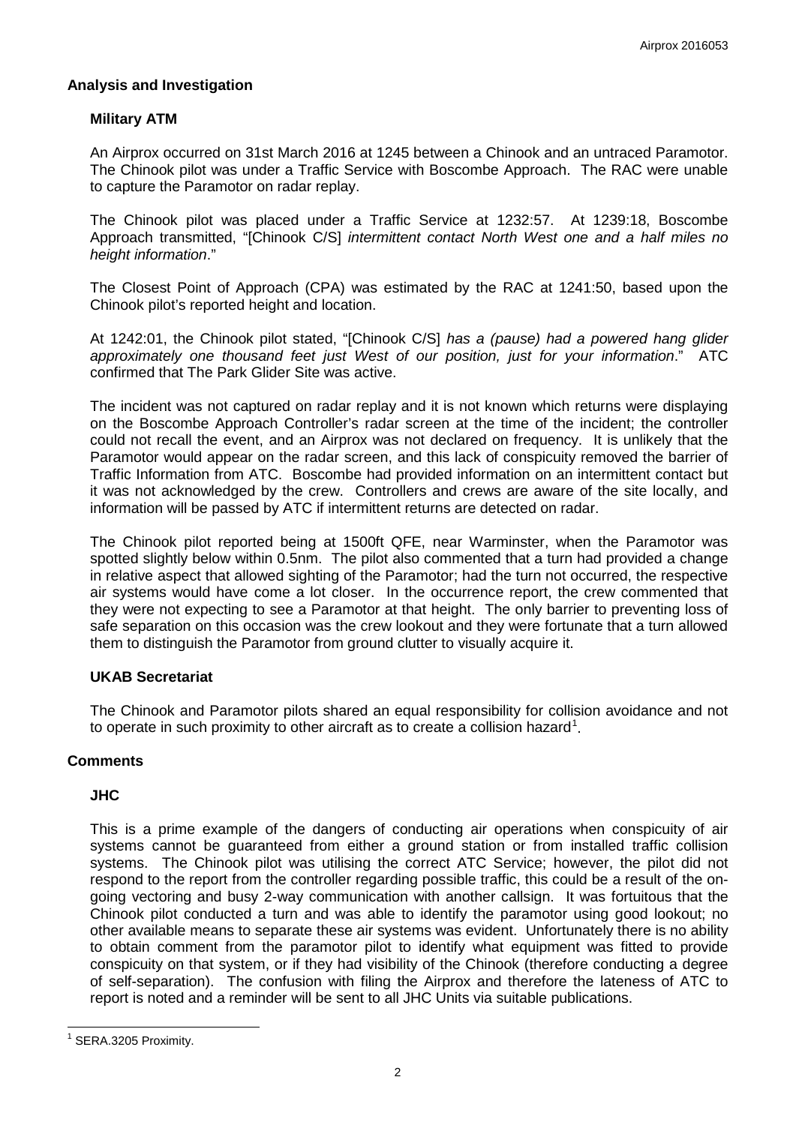### **Analysis and Investigation**

## **Military ATM**

An Airprox occurred on 31st March 2016 at 1245 between a Chinook and an untraced Paramotor. The Chinook pilot was under a Traffic Service with Boscombe Approach. The RAC were unable to capture the Paramotor on radar replay.

The Chinook pilot was placed under a Traffic Service at 1232:57. At 1239:18, Boscombe Approach transmitted, "[Chinook C/S] *intermittent contact North West one and a half miles no height information*."

The Closest Point of Approach (CPA) was estimated by the RAC at 1241:50, based upon the Chinook pilot's reported height and location.

At 1242:01, the Chinook pilot stated, "[Chinook C/S] *has a (pause) had a powered hang glider approximately one thousand feet just West of our position, just for your information*." ATC confirmed that The Park Glider Site was active.

The incident was not captured on radar replay and it is not known which returns were displaying on the Boscombe Approach Controller's radar screen at the time of the incident; the controller could not recall the event, and an Airprox was not declared on frequency. It is unlikely that the Paramotor would appear on the radar screen, and this lack of conspicuity removed the barrier of Traffic Information from ATC. Boscombe had provided information on an intermittent contact but it was not acknowledged by the crew. Controllers and crews are aware of the site locally, and information will be passed by ATC if intermittent returns are detected on radar.

The Chinook pilot reported being at 1500ft QFE, near Warminster, when the Paramotor was spotted slightly below within 0.5nm. The pilot also commented that a turn had provided a change in relative aspect that allowed sighting of the Paramotor; had the turn not occurred, the respective air systems would have come a lot closer. In the occurrence report, the crew commented that they were not expecting to see a Paramotor at that height. The only barrier to preventing loss of safe separation on this occasion was the crew lookout and they were fortunate that a turn allowed them to distinguish the Paramotor from ground clutter to visually acquire it.

## **UKAB Secretariat**

The Chinook and Paramotor pilots shared an equal responsibility for collision avoidance and not to operate in such proximity to other aircraft as to create a collision hazard<sup>[1](#page-1-0)</sup>.

#### **Comments**

#### **JHC**

This is a prime example of the dangers of conducting air operations when conspicuity of air systems cannot be guaranteed from either a ground station or from installed traffic collision systems. The Chinook pilot was utilising the correct ATC Service; however, the pilot did not respond to the report from the controller regarding possible traffic, this could be a result of the ongoing vectoring and busy 2-way communication with another callsign. It was fortuitous that the Chinook pilot conducted a turn and was able to identify the paramotor using good lookout; no other available means to separate these air systems was evident. Unfortunately there is no ability to obtain comment from the paramotor pilot to identify what equipment was fitted to provide conspicuity on that system, or if they had visibility of the Chinook (therefore conducting a degree of self-separation). The confusion with filing the Airprox and therefore the lateness of ATC to report is noted and a reminder will be sent to all JHC Units via suitable publications.

<span id="page-1-0"></span><sup>&</sup>lt;sup>1</sup> SERA.3205 Proximity.